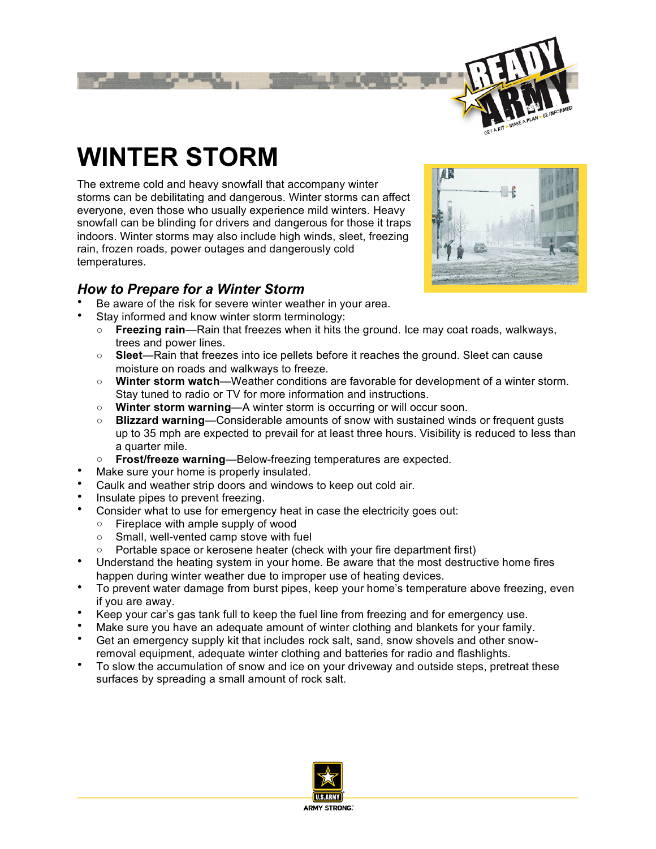

# **WINTER STORM**

The extreme cold and heavy snowfall that accompany winter storms can be debilitating and dangerous. Winter storms can affect everyone, even those who usually experience mild winters. Heavy snowfall can be blinding for drivers and dangerous for those it traps indoors. Winter storms may also include high winds, sleet, freezing rain, frozen roads, power outages and dangerously cold temperatures.

# *How to Prepare for a Winter Storm*

- Be aware of the risk for severe winter weather in your area.
- Stay informed and know winter storm terminology:
	- **Freezing rain**—Rain that freezes when it hits the ground. Ice may coat roads, walkways, trees and power lines.
	- **Sleet**—Rain that freezes into ice pellets before it reaches the ground. Sleet can cause moisture on roads and walkways to freeze.
	- **Winter storm watch**—Weather conditions are favorable for development of a winter storm. Stay tuned to radio or TV for more information and instructions.
	- **Winter storm warning**—A winter storm is occurring or will occur soon.
	- **Blizzard warning**—Considerable amounts of snow with sustained winds or frequent gusts up to 35 mph are expected to prevail for at least three hours. Visibility is reduced to less than a quarter mile.
	- **Frost/freeze warning**—Below-freezing temperatures are expected.
- Make sure your home is properly insulated.
- Caulk and weather strip doors and windows to keep out cold air.
- Insulate pipes to prevent freezing.
- Consider what to use for emergency heat in case the electricity goes out:
	- Fireplace with ample supply of wood
		- Small, well-vented camp stove with fuel
		- Portable space or kerosene heater (check with your fire department first)
- Understand the heating system in your home. Be aware that the most destructive home fires happen during winter weather due to improper use of heating devices.
- To prevent water damage from burst pipes, keep your home's temperature above freezing, even if you are away.
- Keep your car's gas tank full to keep the fuel line from freezing and for emergency use.
- Make sure you have an adequate amount of winter clothing and blankets for your family.
- Get an emergency supply kit that includes rock salt, sand, snow shovels and other snowremoval equipment, adequate winter clothing and batteries for radio and flashlights.
- To slow the accumulation of snow and ice on your driveway and outside steps, pretreat these surfaces by spreading a small amount of rock salt.